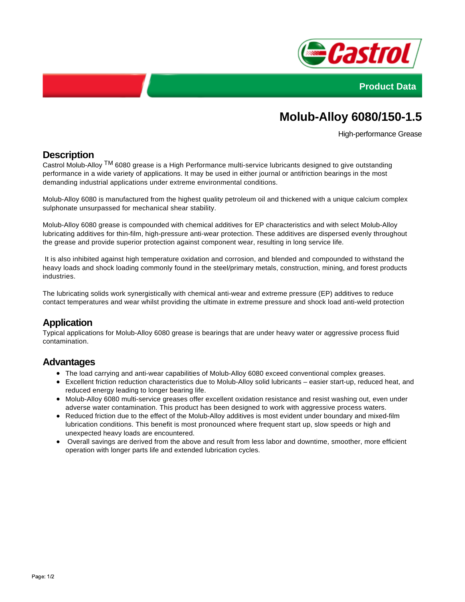



# **Molub-Alloy 6080/150-1.5**

High-performance Grease

#### **Description**

Castrol Molub-Alloy <sup>TM</sup> 6080 grease is a High Performance multi-service lubricants designed to give outstanding performance in a wide variety of applications. It may be used in either journal or antifriction bearings in the most demanding industrial applications under extreme environmental conditions.

Molub-Alloy 6080 is manufactured from the highest quality petroleum oil and thickened with a unique calcium complex sulphonate unsurpassed for mechanical shear stability.

Molub-Alloy 6080 grease is compounded with chemical additives for EP characteristics and with select Molub-Alloy lubricating additives for thin-film, high-pressure anti-wear protection. These additives are dispersed evenly throughout the grease and provide superior protection against component wear, resulting in long service life.

 It is also inhibited against high temperature oxidation and corrosion, and blended and compounded to withstand the heavy loads and shock loading commonly found in the steel/primary metals, construction, mining, and forest products industries.

The lubricating solids work synergistically with chemical anti-wear and extreme pressure (EP) additives to reduce contact temperatures and wear whilst providing the ultimate in extreme pressure and shock load anti-weld protection

## **Application**

Typical applications for Molub-Alloy 6080 grease is bearings that are under heavy water or aggressive process fluid contamination.

#### **Advantages**

- The load carrying and anti-wear capabilities of Molub-Alloy 6080 exceed conventional complex greases.
- Excellent friction reduction characteristics due to Molub-Alloy solid lubricants easier start-up, reduced heat, and reduced energy leading to longer bearing life.
- Molub-Alloy 6080 multi-service greases offer excellent oxidation resistance and resist washing out, even under adverse water contamination. This product has been designed to work with aggressive process waters.
- Reduced friction due to the effect of the Molub-Alloy additives is most evident under boundary and mixed-film lubrication conditions. This benefit is most pronounced where frequent start up, slow speeds or high and unexpected heavy loads are encountered.
- Overall savings are derived from the above and result from less labor and downtime, smoother, more efficient operation with longer parts life and extended lubrication cycles.